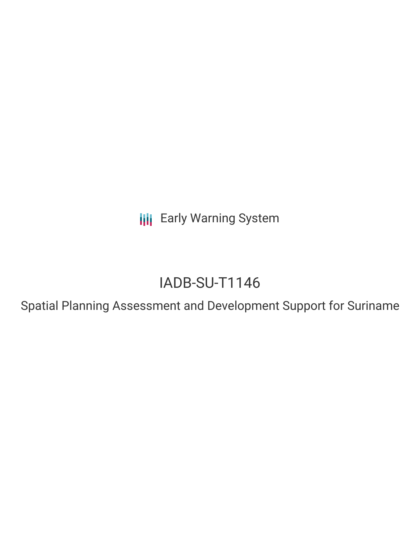**III** Early Warning System

# IADB-SU-T1146

Spatial Planning Assessment and Development Support for Suriname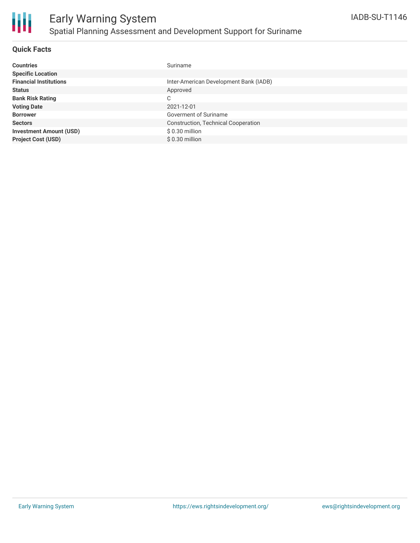

# Early Warning System Spatial Planning Assessment and Development Support for Suriname

### **Quick Facts**

| <b>Countries</b>               | Suriname                                   |
|--------------------------------|--------------------------------------------|
| <b>Specific Location</b>       |                                            |
| <b>Financial Institutions</b>  | Inter-American Development Bank (IADB)     |
| <b>Status</b>                  | Approved                                   |
| <b>Bank Risk Rating</b>        | C                                          |
| <b>Voting Date</b>             | 2021-12-01                                 |
| <b>Borrower</b>                | Goverment of Suriname                      |
| <b>Sectors</b>                 | <b>Construction, Technical Cooperation</b> |
| <b>Investment Amount (USD)</b> | \$0.30 million                             |
| <b>Project Cost (USD)</b>      | $$0.30$ million                            |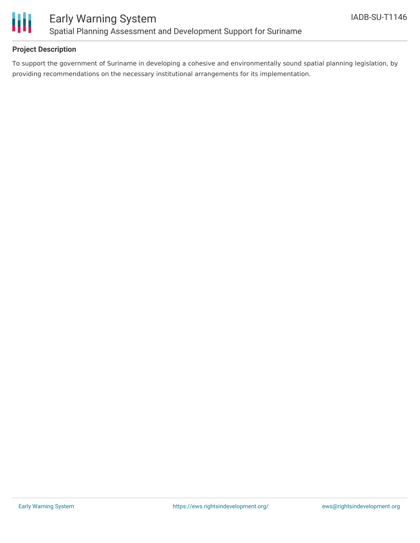

### **Project Description**

To support the government of Suriname in developing a cohesive and environmentally sound spatial planning legislation, by providing recommendations on the necessary institutional arrangements for its implementation.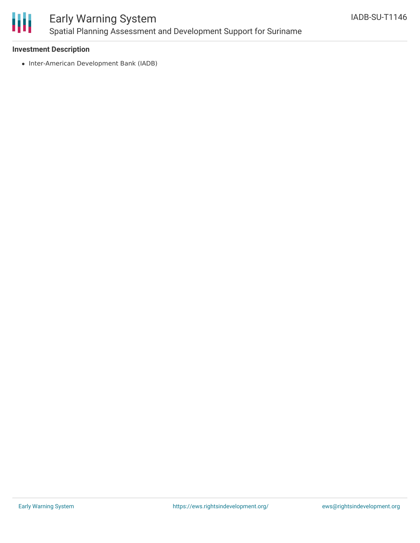

# Early Warning System Spatial Planning Assessment and Development Support for Suriname

### **Investment Description**

• Inter-American Development Bank (IADB)